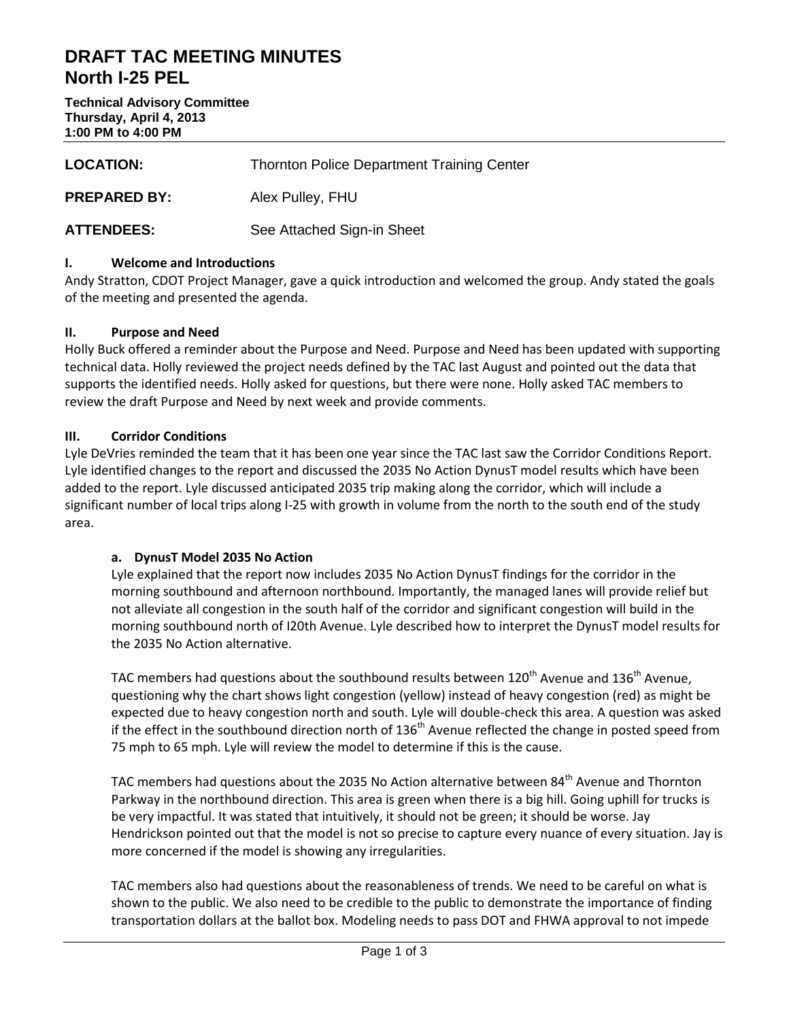# **DRAFT TAC MEETING MINUTES North I-25 PEL**

**Technical Advisory Committee Thursday, April 4, 2013 1:00 PM to 4:00 PM**

| <b>LOCATION:</b>    | <b>Thornton Police Department Training Center</b> |
|---------------------|---------------------------------------------------|
| <b>PREPARED BY:</b> | Alex Pulley, FHU                                  |
| <b>ATTENDEES:</b>   | See Attached Sign-in Sheet                        |

### **I. Welcome and Introductions**

Andy Stratton, CDOT Project Manager, gave a quick introduction and welcomed the group. Andy stated the goals of the meeting and presented the agenda.

#### **II. Purpose and Need**

Holly Buck offered a reminder about the Purpose and Need. Purpose and Need has been updated with supporting technical data. Holly reviewed the project needs defined by the TAC last August and pointed out the data that supports the identified needs. Holly asked for questions, but there were none. Holly asked TAC members to review the draft Purpose and Need by next week and provide comments.

### **III. Corridor Conditions**

Lyle DeVries reminded the team that it has been one year since the TAC last saw the Corridor Conditions Report. Lyle identified changes to the report and discussed the 2035 No Action DynusT model results which have been added to the report. Lyle discussed anticipated 2035 trip making along the corridor, which will include a significant number of local trips along I-25 with growth in volume from the north to the south end of the study area.

#### **a. DynusT Model 2035 No Action**

Lyle explained that the report now includes 2035 No Action DynusT findings for the corridor in the morning southbound and afternoon northbound. Importantly, the managed lanes will provide relief but not alleviate all congestion in the south half of the corridor and significant congestion will build in the morning southbound north of I20th Avenue. Lyle described how to interpret the DynusT model results for the 2035 No Action alternative.

TAC members had questions about the southbound results between  $120<sup>th</sup>$  Avenue and  $136<sup>th</sup>$  Avenue, questioning why the chart shows light congestion (yellow) instead of heavy congestion (red) as might be expected due to heavy congestion north and south. Lyle will double-check this area. A question was asked if the effect in the southbound direction north of  $136<sup>th</sup>$  Avenue reflected the change in posted speed from 75 mph to 65 mph. Lyle will review the model to determine if this is the cause.

TAC members had questions about the 2035 No Action alternative between 84<sup>th</sup> Avenue and Thornton Parkway in the northbound direction. This area is green when there is a big hill. Going uphill for trucks is be very impactful. It was stated that intuitively, it should not be green; it should be worse. Jay Hendrickson pointed out that the model is not so precise to capture every nuance of every situation. Jay is more concerned if the model is showing any irregularities.

TAC members also had questions about the reasonableness of trends. We need to be careful on what is shown to the public. We also need to be credible to the public to demonstrate the importance of finding transportation dollars at the ballot box. Modeling needs to pass DOT and FHWA approval to not impede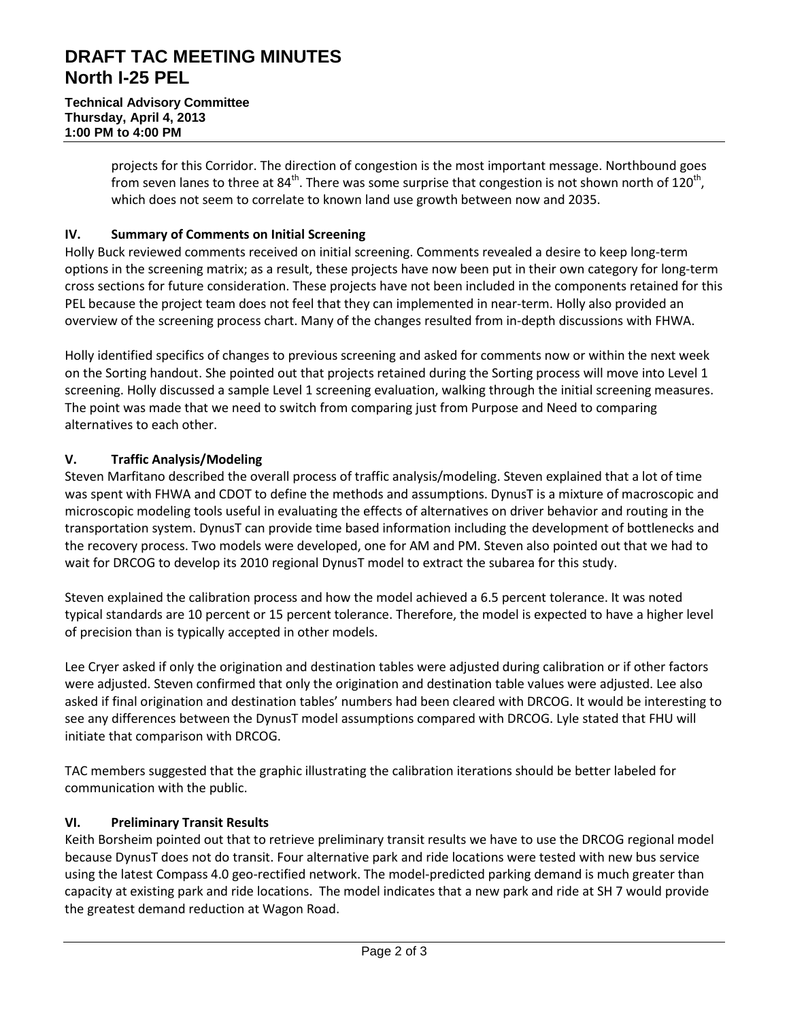# **DRAFT TAC MEETING MINUTES North I-25 PEL**

projects for this Corridor. The direction of congestion is the most important message. Northbound goes from seven lanes to three at  $84^{th}$ . There was some surprise that congestion is not shown north of 120<sup>th</sup>, which does not seem to correlate to known land use growth between now and 2035.

### **IV. Summary of Comments on Initial Screening**

Holly Buck reviewed comments received on initial screening. Comments revealed a desire to keep long-term options in the screening matrix; as a result, these projects have now been put in their own category for long-term cross sections for future consideration. These projects have not been included in the components retained for this PEL because the project team does not feel that they can implemented in near-term. Holly also provided an overview of the screening process chart. Many of the changes resulted from in-depth discussions with FHWA.

Holly identified specifics of changes to previous screening and asked for comments now or within the next week on the Sorting handout. She pointed out that projects retained during the Sorting process will move into Level 1 screening. Holly discussed a sample Level 1 screening evaluation, walking through the initial screening measures. The point was made that we need to switch from comparing just from Purpose and Need to comparing alternatives to each other.

# **V. Traffic Analysis/Modeling**

Steven Marfitano described the overall process of traffic analysis/modeling. Steven explained that a lot of time was spent with FHWA and CDOT to define the methods and assumptions. DynusT is a mixture of macroscopic and microscopic modeling tools useful in evaluating the effects of alternatives on driver behavior and routing in the transportation system. DynusT can provide time based information including the development of bottlenecks and the recovery process. Two models were developed, one for AM and PM. Steven also pointed out that we had to wait for DRCOG to develop its 2010 regional DynusT model to extract the subarea for this study.

Steven explained the calibration process and how the model achieved a 6.5 percent tolerance. It was noted typical standards are 10 percent or 15 percent tolerance. Therefore, the model is expected to have a higher level of precision than is typically accepted in other models.

Lee Cryer asked if only the origination and destination tables were adjusted during calibration or if other factors were adjusted. Steven confirmed that only the origination and destination table values were adjusted. Lee also asked if final origination and destination tables' numbers had been cleared with DRCOG. It would be interesting to see any differences between the DynusT model assumptions compared with DRCOG. Lyle stated that FHU will initiate that comparison with DRCOG.

TAC members suggested that the graphic illustrating the calibration iterations should be better labeled for communication with the public.

# **VI. Preliminary Transit Results**

Keith Borsheim pointed out that to retrieve preliminary transit results we have to use the DRCOG regional model because DynusT does not do transit. Four alternative park and ride locations were tested with new bus service using the latest Compass 4.0 geo-rectified network. The model-predicted parking demand is much greater than capacity at existing park and ride locations. The model indicates that a new park and ride at SH 7 would provide the greatest demand reduction at Wagon Road.